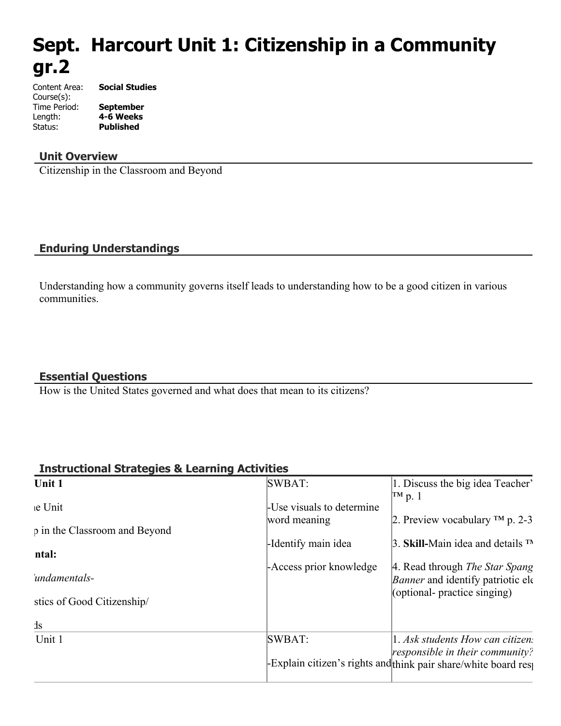# **Sept. Harcourt Unit 1: Citizenship in a Community gr.2**

Content Area: **Social Studies** Course(s): Time Period: **September** Length: **4-6 Weeks** Status: **Published**

#### **Unit Overview**

Citizenship in the Classroom and Beyond

## **Enduring Understandings**

Understanding how a community governs itself leads to understanding how to be a good citizen in various communities.

#### **Essential Questions**

How is the United States governed and what does that mean to its citizens?

#### **Instructional Strategies & Learning Activities**

| SWBAT:                    | 1. Discuss the big idea Teacher'<br> TM p. 1                                                     |
|---------------------------|--------------------------------------------------------------------------------------------------|
| -Use visuals to determine |                                                                                                  |
| word meaning              | 2. Preview vocabulary $TM$ p. 2-3                                                                |
| -Identify main idea       | 3. Skill-Main idea and details $TN$                                                              |
| - Access prior knowledge  | 4. Read through <i>The Star Spang</i><br><i>Banner</i> and identify patriotic ele-               |
|                           | (optional- practice singing)                                                                     |
|                           |                                                                                                  |
| SWBAT:                    | 1. Ask students How can citizen.                                                                 |
|                           | responsible in their community?<br>Explain citizen's rights and think pair share/white board res |
|                           |                                                                                                  |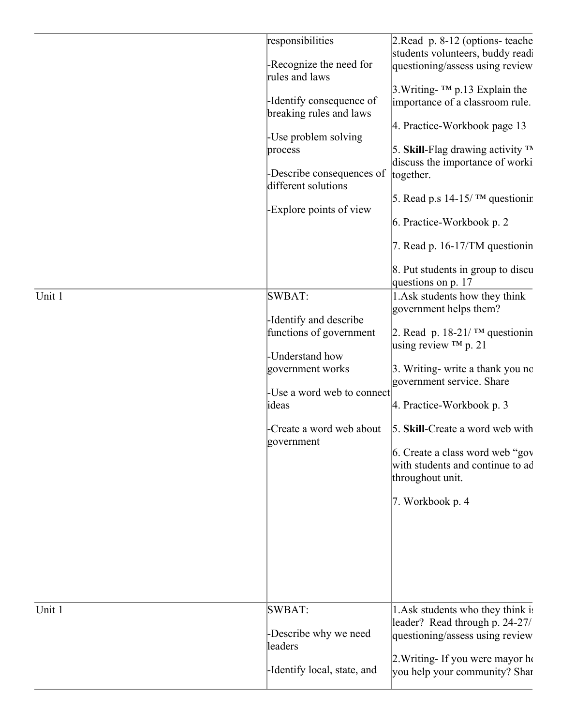| Unit 1 | responsibilities<br>-Recognize the need for<br>rules and laws<br>-Identify consequence of<br>breaking rules and laws<br>-Use problem solving<br>process<br>-Describe consequences of<br>different solutions<br>-Explore points of view<br>SWBAT:<br>-Identify and describe<br>functions of government<br>-Understand how<br>government works<br>-Use a word web to connect<br>ideas<br>-Create a word web about<br>government | 2. Read p. 8-12 (options- teache<br>students volunteers, buddy readi<br>questioning/assess using review<br>$3. Writing$ - TM p.13 Explain the<br>importance of a classroom rule.<br>4. Practice-Workbook page 13<br>5. Skill-Flag drawing activity $TN$<br>discuss the importance of worki<br>together.<br>5. Read p.s 14-15/ $^{TM}$ questionir<br>6. Practice-Workbook p. 2<br>7. Read p. 16-17/TM questionin<br>8. Put students in group to discu<br>questions on p. 17<br>1. Ask students how they think<br>government helps them?<br>2. Read p. 18-21/ $TM$ questionin<br>using review $TM$ p. 21<br>3. Writing- write a thank you no<br>government service. Share<br>4. Practice-Workbook p. 3<br>5. Skill-Create a word web with<br>6. Create a class word web "gov"<br>with students and continue to ad<br>throughout unit.<br>7. Workbook p. 4 |
|--------|-------------------------------------------------------------------------------------------------------------------------------------------------------------------------------------------------------------------------------------------------------------------------------------------------------------------------------------------------------------------------------------------------------------------------------|---------------------------------------------------------------------------------------------------------------------------------------------------------------------------------------------------------------------------------------------------------------------------------------------------------------------------------------------------------------------------------------------------------------------------------------------------------------------------------------------------------------------------------------------------------------------------------------------------------------------------------------------------------------------------------------------------------------------------------------------------------------------------------------------------------------------------------------------------------|
| Unit 1 | <b>SWBAT:</b><br>-Describe why we need<br>leaders<br>-Identify local, state, and                                                                                                                                                                                                                                                                                                                                              | 1. Ask students who they think is<br>leader? Read through p. 24-27/<br>questioning/assess using review<br>2. Writing- If you were mayor ho<br>you help your community? Shar                                                                                                                                                                                                                                                                                                                                                                                                                                                                                                                                                                                                                                                                             |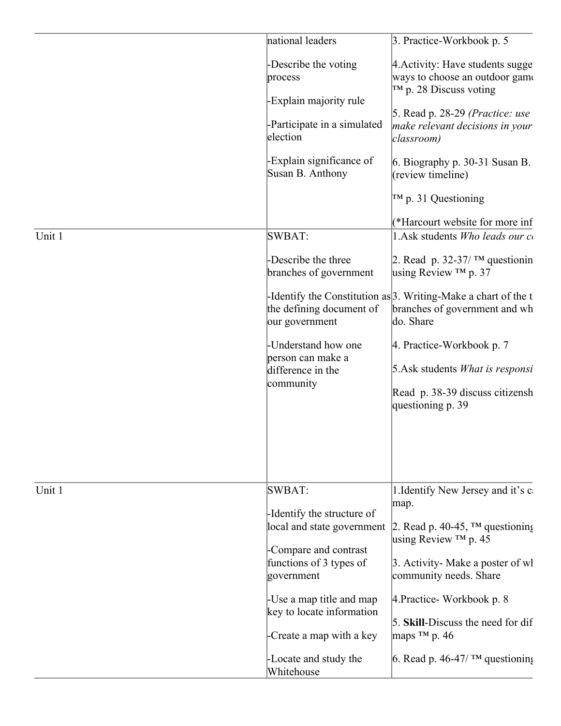| -Describe the voting<br>process<br>$TM$ p. 28 Discuss voting<br>-Explain majority rule<br>5. Read p. $28-29$ (Practice: use<br>-Participate in a simulated<br>election<br>classroom)<br>-Explain significance of<br>Susan B. Anthony<br>(review timeline)<br>$TM$ p. 31 Questioning<br>SWBAT:<br>-Describe the three<br>branches of government<br>using Review $TM$ p. 37<br>-Identify the Constitution as $3$ . Writing-Make a chart of the t<br>the defining document of<br>do. Share<br>our government<br>-Understand how one<br>4. Practice-Workbook p. 7<br>person can make a<br>difference in the<br>community<br>questioning p. 39<br>SWBAT:<br>map.<br>-Identify the structure of<br>local and state government<br>2. Read p. 40-45, $TM$ questioning<br>using Review $TM$ p. 45<br>-Compare and contrast<br>functions of 3 types of<br>3. Activity- Make a poster of wl<br>community needs. Share<br>government<br>-Use a map title and map<br>4. Practice - Workbook p. 8<br>key to locate information<br>maps $TM$ p. 46<br>-Create a map with a key<br>-Locate and study the<br>Whitehouse |        | national leaders | 3. Practice-Workbook p. 5                                          |
|--------------------------------------------------------------------------------------------------------------------------------------------------------------------------------------------------------------------------------------------------------------------------------------------------------------------------------------------------------------------------------------------------------------------------------------------------------------------------------------------------------------------------------------------------------------------------------------------------------------------------------------------------------------------------------------------------------------------------------------------------------------------------------------------------------------------------------------------------------------------------------------------------------------------------------------------------------------------------------------------------------------------------------------------------------------------------------------------------------|--------|------------------|--------------------------------------------------------------------|
|                                                                                                                                                                                                                                                                                                                                                                                                                                                                                                                                                                                                                                                                                                                                                                                                                                                                                                                                                                                                                                                                                                        |        |                  | 4. Activity: Have students sugge<br>ways to choose an outdoor game |
|                                                                                                                                                                                                                                                                                                                                                                                                                                                                                                                                                                                                                                                                                                                                                                                                                                                                                                                                                                                                                                                                                                        |        |                  |                                                                    |
|                                                                                                                                                                                                                                                                                                                                                                                                                                                                                                                                                                                                                                                                                                                                                                                                                                                                                                                                                                                                                                                                                                        |        |                  | make relevant decisions in your                                    |
|                                                                                                                                                                                                                                                                                                                                                                                                                                                                                                                                                                                                                                                                                                                                                                                                                                                                                                                                                                                                                                                                                                        |        |                  | 6. Biography p. $30-31$ Susan B.                                   |
|                                                                                                                                                                                                                                                                                                                                                                                                                                                                                                                                                                                                                                                                                                                                                                                                                                                                                                                                                                                                                                                                                                        |        |                  |                                                                    |
|                                                                                                                                                                                                                                                                                                                                                                                                                                                                                                                                                                                                                                                                                                                                                                                                                                                                                                                                                                                                                                                                                                        |        |                  | (*Harcourt website for more inf                                    |
|                                                                                                                                                                                                                                                                                                                                                                                                                                                                                                                                                                                                                                                                                                                                                                                                                                                                                                                                                                                                                                                                                                        | Unit 1 |                  | 1. Ask students Who leads our co                                   |
|                                                                                                                                                                                                                                                                                                                                                                                                                                                                                                                                                                                                                                                                                                                                                                                                                                                                                                                                                                                                                                                                                                        |        |                  | 2. Read p. 32-37/ $TM$ questionin                                  |
|                                                                                                                                                                                                                                                                                                                                                                                                                                                                                                                                                                                                                                                                                                                                                                                                                                                                                                                                                                                                                                                                                                        |        |                  | branches of government and wh                                      |
|                                                                                                                                                                                                                                                                                                                                                                                                                                                                                                                                                                                                                                                                                                                                                                                                                                                                                                                                                                                                                                                                                                        |        |                  |                                                                    |
|                                                                                                                                                                                                                                                                                                                                                                                                                                                                                                                                                                                                                                                                                                                                                                                                                                                                                                                                                                                                                                                                                                        |        |                  | $5. Ask$ students <i>What is responsi</i>                          |
|                                                                                                                                                                                                                                                                                                                                                                                                                                                                                                                                                                                                                                                                                                                                                                                                                                                                                                                                                                                                                                                                                                        |        |                  | Read p. 38-39 discuss citizensh                                    |
|                                                                                                                                                                                                                                                                                                                                                                                                                                                                                                                                                                                                                                                                                                                                                                                                                                                                                                                                                                                                                                                                                                        |        |                  |                                                                    |
|                                                                                                                                                                                                                                                                                                                                                                                                                                                                                                                                                                                                                                                                                                                                                                                                                                                                                                                                                                                                                                                                                                        | Unit 1 |                  | 1. Identify New Jersey and it's c                                  |
|                                                                                                                                                                                                                                                                                                                                                                                                                                                                                                                                                                                                                                                                                                                                                                                                                                                                                                                                                                                                                                                                                                        |        |                  |                                                                    |
|                                                                                                                                                                                                                                                                                                                                                                                                                                                                                                                                                                                                                                                                                                                                                                                                                                                                                                                                                                                                                                                                                                        |        |                  |                                                                    |
|                                                                                                                                                                                                                                                                                                                                                                                                                                                                                                                                                                                                                                                                                                                                                                                                                                                                                                                                                                                                                                                                                                        |        |                  |                                                                    |
|                                                                                                                                                                                                                                                                                                                                                                                                                                                                                                                                                                                                                                                                                                                                                                                                                                                                                                                                                                                                                                                                                                        |        |                  |                                                                    |
|                                                                                                                                                                                                                                                                                                                                                                                                                                                                                                                                                                                                                                                                                                                                                                                                                                                                                                                                                                                                                                                                                                        |        |                  |                                                                    |
|                                                                                                                                                                                                                                                                                                                                                                                                                                                                                                                                                                                                                                                                                                                                                                                                                                                                                                                                                                                                                                                                                                        |        |                  | 5. Skill-Discuss the need for dif                                  |
|                                                                                                                                                                                                                                                                                                                                                                                                                                                                                                                                                                                                                                                                                                                                                                                                                                                                                                                                                                                                                                                                                                        |        |                  | 6. Read p. 46-47/ $\text{TM}$ questioning                          |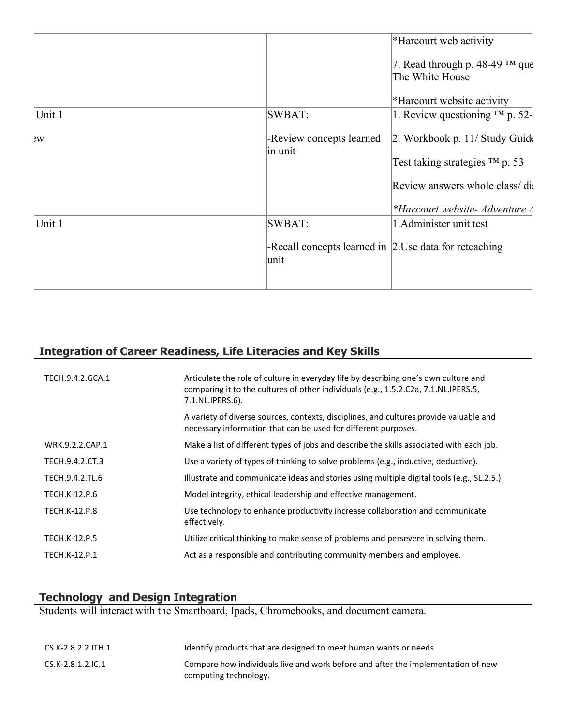|        | *Harcourt web activity                                                |
|--------|-----------------------------------------------------------------------|
|        | 7. Read through p. 48-49 $TM$ que<br>The White House                  |
|        | *Harcourt website activity                                            |
| Unit 1 | 1. Review questioning $TM$ p. 52-<br>SWBAT:                           |
| W      | -Review concepts learned<br>2. Workbook p. 11/ Study Guide<br>in unit |
|        | Test taking strategies $TM$ p. 53                                     |
|        | Review answers whole class/di                                         |
|        | *Harcourt website- Adventure A                                        |
| Unit 1 | 1. Administer unit test<br>SWBAT:                                     |
|        | -Recall concepts learned in 2.Use data for reteaching<br>lunit        |
|        |                                                                       |

# **Integration of Career Readiness, Life Literacies and Key Skills**

| TECH.9.4.2.GCA.1     | Articulate the role of culture in everyday life by describing one's own culture and<br>comparing it to the cultures of other individuals (e.g., 1.5.2.C2a, 7.1.NL.IPERS.5,<br>7.1.NL.IPERS.6). |
|----------------------|------------------------------------------------------------------------------------------------------------------------------------------------------------------------------------------------|
|                      | A variety of diverse sources, contexts, disciplines, and cultures provide valuable and<br>necessary information that can be used for different purposes.                                       |
| WRK.9.2.2.CAP.1      | Make a list of different types of jobs and describe the skills associated with each job.                                                                                                       |
| TECH.9.4.2.CT.3      | Use a variety of types of thinking to solve problems (e.g., inductive, deductive).                                                                                                             |
| TECH.9.4.2.TL.6      | Illustrate and communicate ideas and stories using multiple digital tools (e.g., SL.2.5.).                                                                                                     |
| TECH.K-12.P.6        | Model integrity, ethical leadership and effective management.                                                                                                                                  |
| TECH.K-12.P.8        | Use technology to enhance productivity increase collaboration and communicate<br>effectively.                                                                                                  |
| <b>TECH.K-12.P.5</b> | Utilize critical thinking to make sense of problems and persevere in solving them.                                                                                                             |
| <b>TECH.K-12.P.1</b> | Act as a responsible and contributing community members and employee.                                                                                                                          |

#### **Technology and Design Integration**

Students will interact with the Smartboard, Ipads, Chromebooks, and document camera.

| CS.K-2.8.2.2.ITH.1 | Identify products that are designed to meet human wants or needs.                |
|--------------------|----------------------------------------------------------------------------------|
| CS.K-2.8.1.2.IC.1  | Compare how individuals live and work before and after the implementation of new |
|                    | computing technology.                                                            |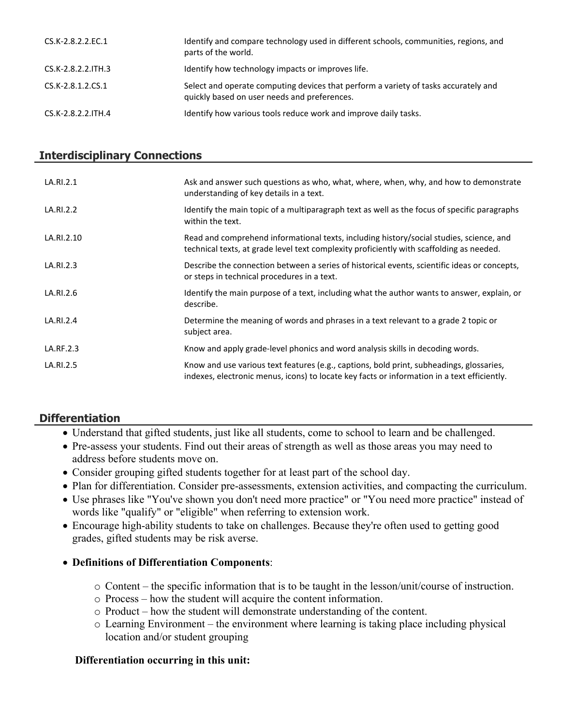| CS.K-2.8.2.2.EC.1  | Identify and compare technology used in different schools, communities, regions, and<br>parts of the world.                         |
|--------------------|-------------------------------------------------------------------------------------------------------------------------------------|
| CS.K-2.8.2.2.ITH.3 | Identify how technology impacts or improves life.                                                                                   |
| CS.K-2.8.1.2.CS.1  | Select and operate computing devices that perform a variety of tasks accurately and<br>quickly based on user needs and preferences. |
| CS.K-2.8.2.2.ITH.4 | Identify how various tools reduce work and improve daily tasks.                                                                     |

#### **Interdisciplinary Connections**

| LA.RI.2.1  | Ask and answer such questions as who, what, where, when, why, and how to demonstrate<br>understanding of key details in a text.                                                         |
|------------|-----------------------------------------------------------------------------------------------------------------------------------------------------------------------------------------|
| LA.RI.2.2  | Identify the main topic of a multiparagraph text as well as the focus of specific paragraphs<br>within the text.                                                                        |
| LA.RI.2.10 | Read and comprehend informational texts, including history/social studies, science, and<br>technical texts, at grade level text complexity proficiently with scaffolding as needed.     |
| LA.RI.2.3  | Describe the connection between a series of historical events, scientific ideas or concepts,<br>or steps in technical procedures in a text.                                             |
| LA.RI.2.6  | Identify the main purpose of a text, including what the author wants to answer, explain, or<br>describe.                                                                                |
| LA.RI.2.4  | Determine the meaning of words and phrases in a text relevant to a grade 2 topic or<br>subject area.                                                                                    |
| LA.RF.2.3  | Know and apply grade-level phonics and word analysis skills in decoding words.                                                                                                          |
| LA.RI.2.5  | Know and use various text features (e.g., captions, bold print, subheadings, glossaries,<br>indexes, electronic menus, icons) to locate key facts or information in a text efficiently. |

## **Differentiation**

- Understand that gifted students, just like all students, come to school to learn and be challenged.
- Pre-assess your students. Find out their areas of strength as well as those areas you may need to address before students move on.
- Consider grouping gifted students together for at least part of the school day.
- Plan for differentiation. Consider pre-assessments, extension activities, and compacting the curriculum.
- Use phrases like "You've shown you don't need more practice" or "You need more practice" instead of words like "qualify" or "eligible" when referring to extension work.
- Encourage high-ability students to take on challenges. Because they're often used to getting good grades, gifted students may be risk averse.

#### **Definitions of Differentiation Components**:

- o Content the specific information that is to be taught in the lesson/unit/course of instruction.
- o Process how the student will acquire the content information.
- o Product how the student will demonstrate understanding of the content.
- o Learning Environment the environment where learning is taking place including physical location and/or student grouping

#### **Differentiation occurring in this unit:**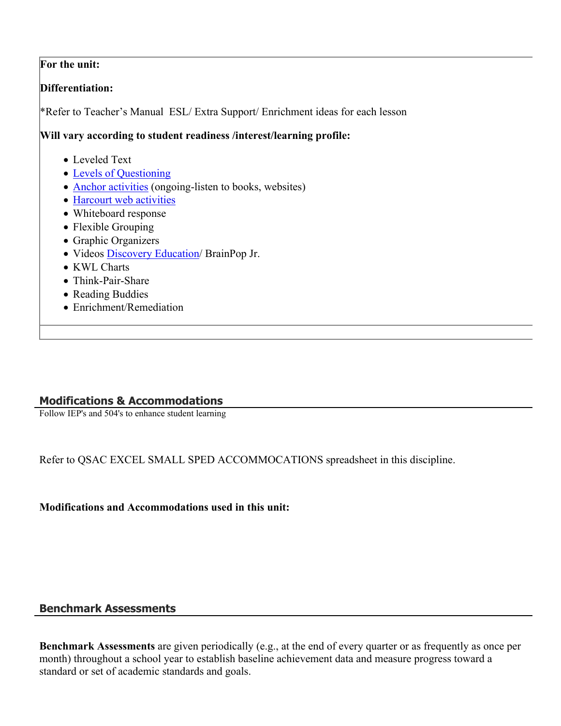#### **For the unit:**

#### **Differentiation:**

\*Refer to Teacher's Manual ESL/ Extra Support/ Enrichment ideas for each lesson

#### **Will vary according to student readiness /interest/learning profile:**

- Leveled Text
- [Levels of Questioning](http://www.bloomstaxonomy.org/Blooms%20Taxonomy%20questions.pdf)
- [Anchor activities](http://www.rec4.com/filestore/REC4_AnchorActivityPacket_080513.pdf) (ongoing-listen to books, websites)
- [Harcourt web activities](http://www.harcourtschool.com/ss1/)
- Whiteboard response
- Flexible Grouping
- Graphic Organizers
- Videos [Discovery Education/](http://www.discoveryeducation.com/) BrainPop Jr.
- KWL Charts
- Think-Pair-Share
- Reading Buddies
- Enrichment/Remediation

#### **Modifications & Accommodations**

Follow IEP's and 504's to enhance student learning

Refer to QSAC EXCEL SMALL SPED ACCOMMOCATIONS spreadsheet in this discipline.

**Modifications and Accommodations used in this unit:**

#### **Benchmark Assessments**

**Benchmark Assessments** are given periodically (e.g., at the end of every quarter or as frequently as once per month) throughout a school year to establish baseline achievement data and measure progress toward a standard or set of academic standards and goals.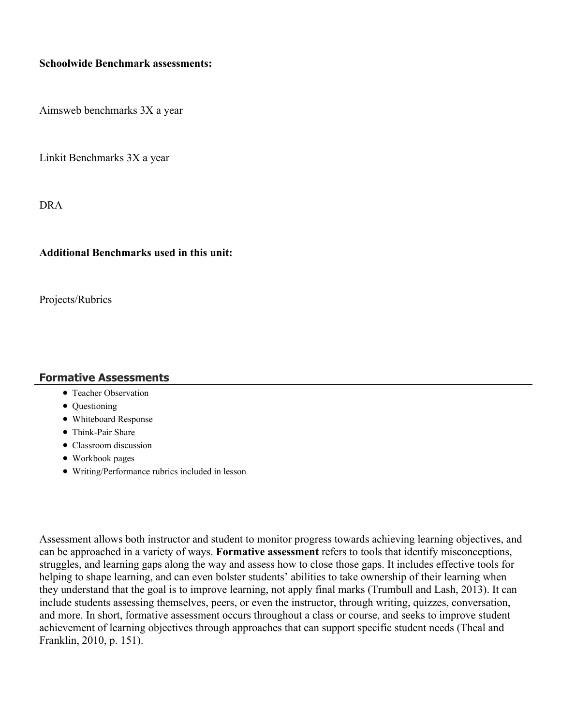#### **Schoolwide Benchmark assessments:**

Aimsweb benchmarks 3X a year

Linkit Benchmarks 3X a year

DRA

#### **Additional Benchmarks used in this unit:**

Projects/Rubrics

#### **Formative Assessments**

- Teacher Observation
- Questioning
- Whiteboard Response
- Think-Pair Share
- Classroom discussion
- Workbook pages
- Writing/Performance rubrics included in lesson

Assessment allows both instructor and student to monitor progress towards achieving learning objectives, and can be approached in a variety of ways. **Formative assessment** refers to tools that identify misconceptions, struggles, and learning gaps along the way and assess how to close those gaps. It includes effective tools for helping to shape learning, and can even bolster students' abilities to take ownership of their learning when they understand that the goal is to improve learning, not apply final marks (Trumbull and Lash, 2013). It can include students assessing themselves, peers, or even the instructor, through writing, quizzes, conversation, and more. In short, formative assessment occurs throughout a class or course, and seeks to improve student achievement of learning objectives through approaches that can support specific student needs (Theal and Franklin, 2010, p. 151).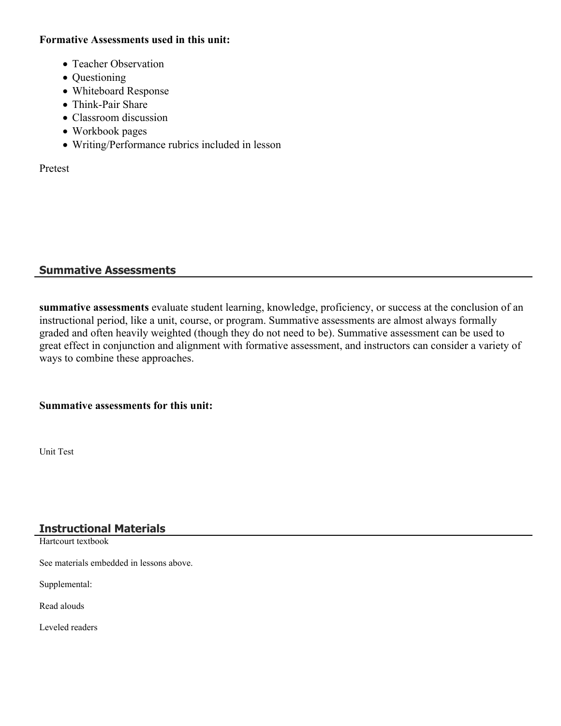#### **Formative Assessments used in this unit:**

- Teacher Observation
- Questioning
- Whiteboard Response
- Think-Pair Share
- Classroom discussion
- Workbook pages
- Writing/Performance rubrics included in lesson

Pretest

## **Summative Assessments**

**summative assessments** evaluate student learning, knowledge, proficiency, or success at the conclusion of an instructional period, like a unit, course, or program. Summative assessments are almost always formally graded and often heavily weighted (though they do not need to be). Summative assessment can be used to great effect in conjunction and alignment with formative assessment, and instructors can consider a variety of ways to combine these approaches.

#### **Summative assessments for this unit:**

Unit Test

## **Instructional Materials**

Hartcourt textbook

See materials embedded in lessons above.

Supplemental:

Read alouds

Leveled readers